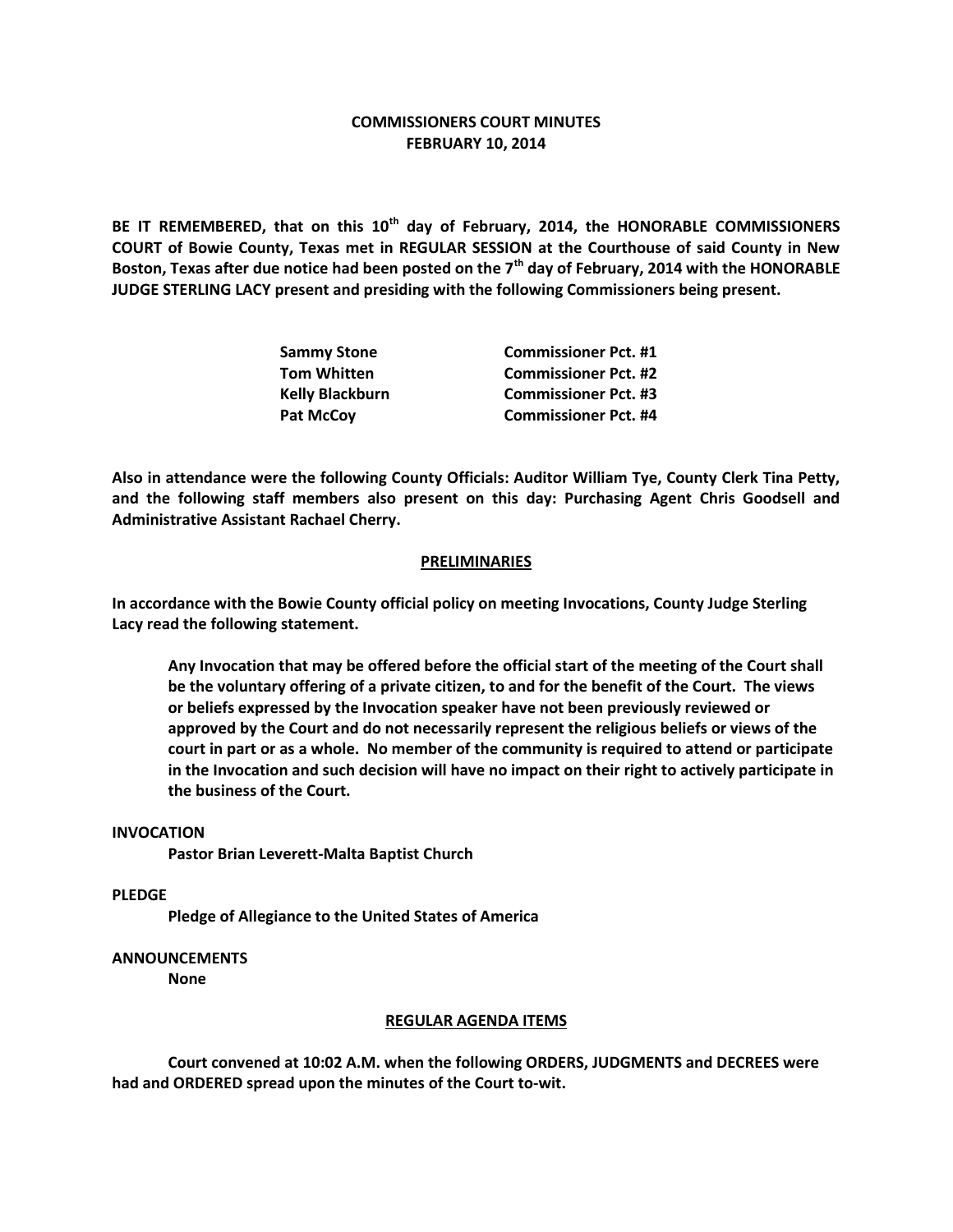# **COMMISSIONERS COURT MINUTES FEBRUARY 10, 2014**

**BE IT REMEMBERED, that on this 10th day of February, 2014, the HONORABLE COMMISSIONERS COURT of Bowie County, Texas met in REGULAR SESSION at the Courthouse of said County in New Boston, Texas after due notice had been posted on the 7th day of February, 2014 with the HONORABLE JUDGE STERLING LACY present and presiding with the following Commissioners being present.**

| <b>Sammy Stone</b>     | <b>Commissioner Pct. #1</b> |
|------------------------|-----------------------------|
| <b>Tom Whitten</b>     | <b>Commissioner Pct. #2</b> |
| <b>Kelly Blackburn</b> | <b>Commissioner Pct. #3</b> |
| <b>Pat McCoy</b>       | <b>Commissioner Pct. #4</b> |

**Also in attendance were the following County Officials: Auditor William Tye, County Clerk Tina Petty, and the following staff members also present on this day: Purchasing Agent Chris Goodsell and Administrative Assistant Rachael Cherry.**

### **PRELIMINARIES**

**In accordance with the Bowie County official policy on meeting Invocations, County Judge Sterling Lacy read the following statement.**

**Any Invocation that may be offered before the official start of the meeting of the Court shall be the voluntary offering of a private citizen, to and for the benefit of the Court. The views or beliefs expressed by the Invocation speaker have not been previously reviewed or approved by the Court and do not necessarily represent the religious beliefs or views of the court in part or as a whole. No member of the community is required to attend or participate in the Invocation and such decision will have no impact on their right to actively participate in the business of the Court.**

#### **INVOCATION**

**Pastor Brian Leverett-Malta Baptist Church**

#### **PLEDGE**

**Pledge of Allegiance to the United States of America**

## **ANNOUNCEMENTS**

**None**

#### **REGULAR AGENDA ITEMS**

**Court convened at 10:02 A.M. when the following ORDERS, JUDGMENTS and DECREES were had and ORDERED spread upon the minutes of the Court to-wit.**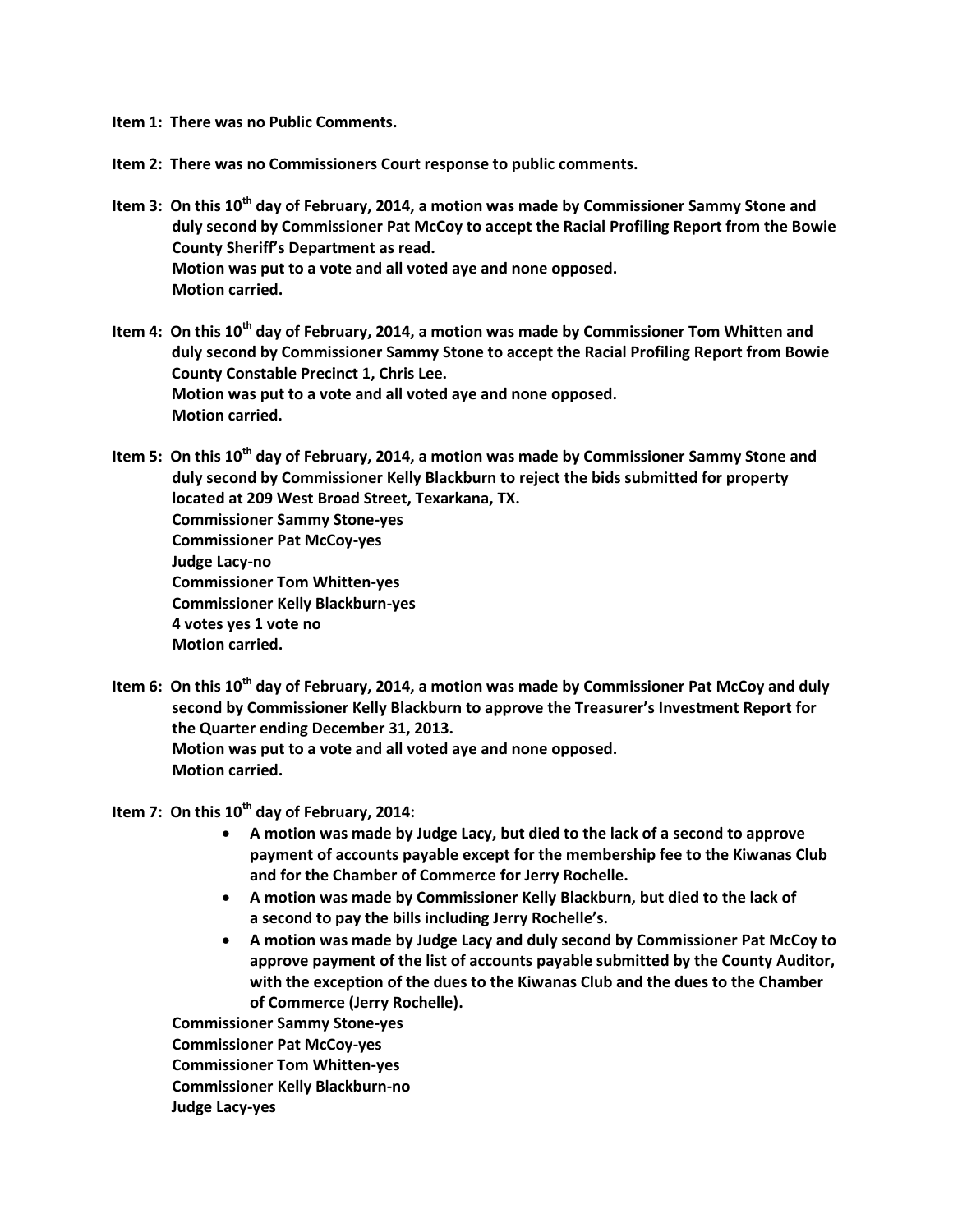**Item 1: There was no Public Comments.**

**Item 2: There was no Commissioners Court response to public comments.**

- **Item 3: On this 10th day of February, 2014, a motion was made by Commissioner Sammy Stone and duly second by Commissioner Pat McCoy to accept the Racial Profiling Report from the Bowie County Sheriff's Department as read. Motion was put to a vote and all voted aye and none opposed. Motion carried.**
- **Item 4: On this 10th day of February, 2014, a motion was made by Commissioner Tom Whitten and duly second by Commissioner Sammy Stone to accept the Racial Profiling Report from Bowie County Constable Precinct 1, Chris Lee. Motion was put to a vote and all voted aye and none opposed. Motion carried.**

**Item 5: On this 10th day of February, 2014, a motion was made by Commissioner Sammy Stone and duly second by Commissioner Kelly Blackburn to reject the bids submitted for property located at 209 West Broad Street, Texarkana, TX. Commissioner Sammy Stone-yes Commissioner Pat McCoy-yes Judge Lacy-no Commissioner Tom Whitten-yes Commissioner Kelly Blackburn-yes 4 votes yes 1 vote no Motion carried.**

**Item 6: On this 10th day of February, 2014, a motion was made by Commissioner Pat McCoy and duly second by Commissioner Kelly Blackburn to approve the Treasurer's Investment Report for the Quarter ending December 31, 2013. Motion was put to a vote and all voted aye and none opposed. Motion carried.**

**Item 7: On this 10th day of February, 2014:**

- **A motion was made by Judge Lacy, but died to the lack of a second to approve payment of accounts payable except for the membership fee to the Kiwanas Club and for the Chamber of Commerce for Jerry Rochelle.**
- **A motion was made by Commissioner Kelly Blackburn, but died to the lack of a second to pay the bills including Jerry Rochelle's.**
- **A motion was made by Judge Lacy and duly second by Commissioner Pat McCoy to approve payment of the list of accounts payable submitted by the County Auditor, with the exception of the dues to the Kiwanas Club and the dues to the Chamber of Commerce (Jerry Rochelle).**

**Commissioner Sammy Stone-yes Commissioner Pat McCoy-yes Commissioner Tom Whitten-yes Commissioner Kelly Blackburn-no Judge Lacy-yes**